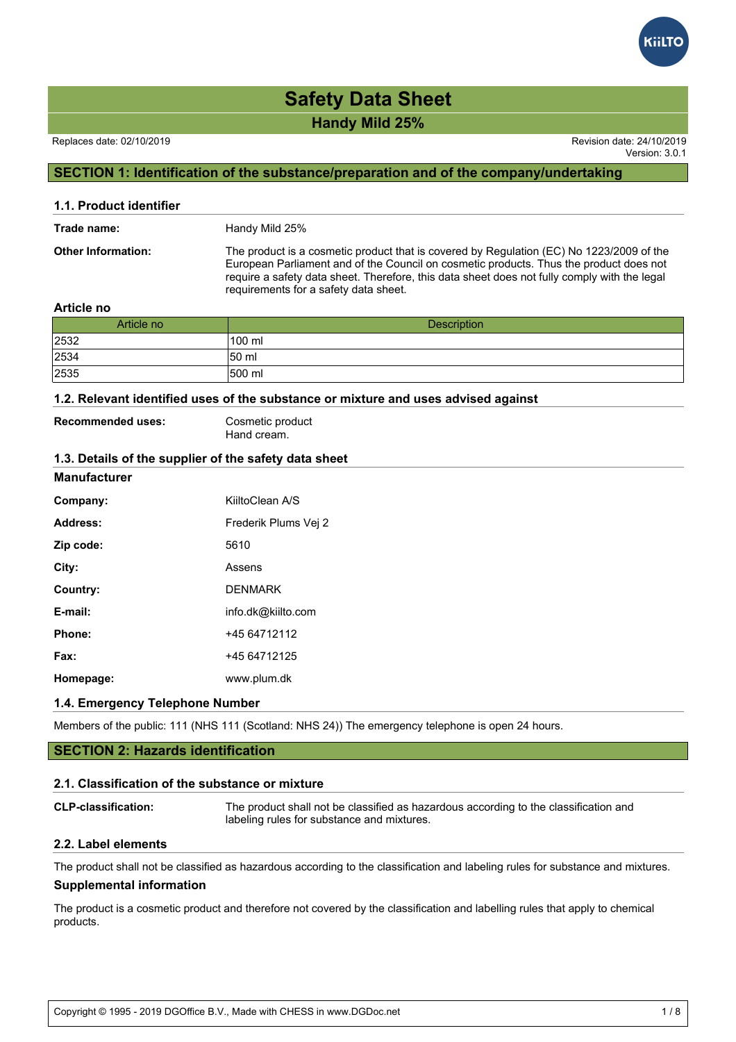# **Handy Mild 25% Safety Data Sheet**

Replaces date: 02/10/2019 Revision date: 24/10/2019

Version: 3.0.1

# **SECTION 1: Identification of the substance/preparation and of the company/undertaking**

| 1.1. Product identifier   |                                                                                                                                                                                                                                                                                                                             |
|---------------------------|-----------------------------------------------------------------------------------------------------------------------------------------------------------------------------------------------------------------------------------------------------------------------------------------------------------------------------|
| Trade name:               | Handy Mild 25%                                                                                                                                                                                                                                                                                                              |
| <b>Other Information:</b> | The product is a cosmetic product that is covered by Regulation (EC) No 1223/2009 of the<br>European Parliament and of the Council on cosmetic products. Thus the product does not<br>require a safety data sheet. Therefore, this data sheet does not fully comply with the legal<br>requirements for a safety data sheet. |

### **Article no**

| Article no | <b>Description</b> |
|------------|--------------------|
| 2532       | 100 ml             |
| 2534       | 150 ml             |
| 2535       | 500 ml             |

# **1.2. Relevant identified uses of the substance or mixture and uses advised against**

Recommended uses: Cosmetic product Hand cream.

### **1.3. Details of the supplier of the safety data sheet**

#### **Manufacturer**

| Company:  | KiiltoClean A/S      |
|-----------|----------------------|
| Address:  | Frederik Plums Vei 2 |
| Zip code: | 5610                 |
| City:     | Assens               |
| Country:  | <b>DENMARK</b>       |
| E-mail:   | info.dk@kiilto.com   |
| Phone:    | +45 64712112         |
| Fax:      | +45 64712125         |
| Homepage: | www.plum.dk          |
|           |                      |

# **1.4. Emergency Telephone Number**

Members of the public: 111 (NHS 111 (Scotland: NHS 24)) The emergency telephone is open 24 hours.

# **SECTION 2: Hazards identification**

#### **2.1. Classification of the substance or mixture**

| <b>CLP-classification:</b> | The product shall not be classified as hazardous according to the classification and |
|----------------------------|--------------------------------------------------------------------------------------|
|                            | labeling rules for substance and mixtures.                                           |

# **2.2. Label elements**

The product shall not be classified as hazardous according to the classification and labeling rules for substance and mixtures.

# **Supplemental information**

The product is a cosmetic product and therefore not covered by the classification and labelling rules that apply to chemical products.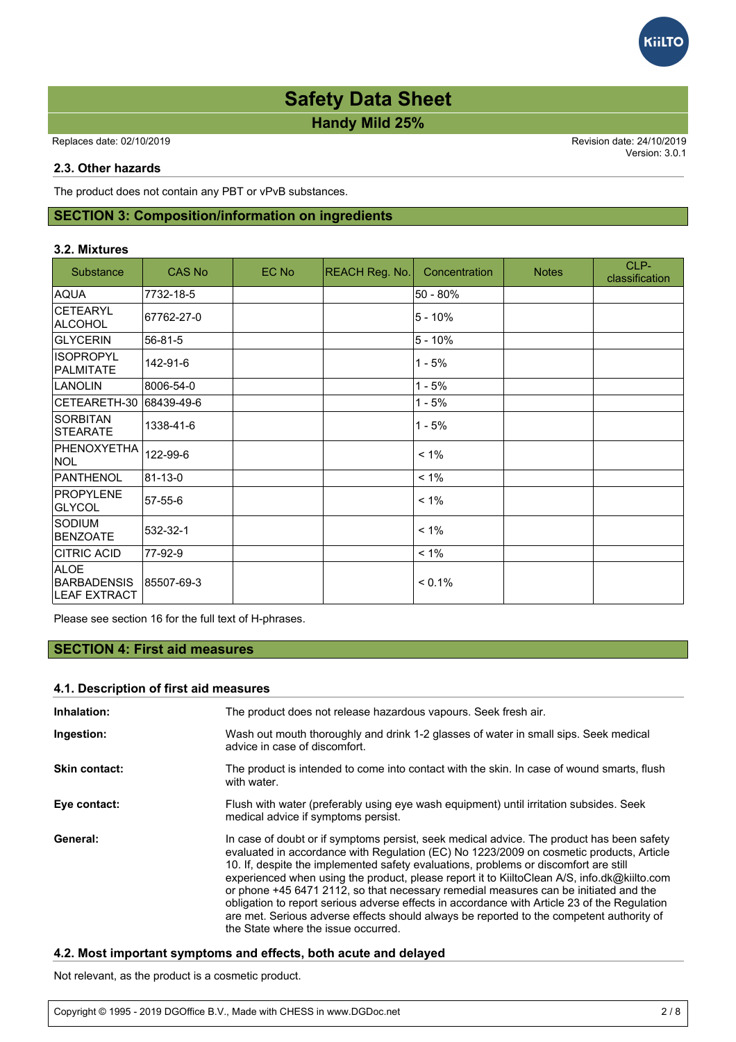# **Handy Mild 25% Safety Data Sheet**

Replaces date: 02/10/2019 Revision date: 24/10/2019

Version: 3.0.1

## **2.3. Other hazards**

The product does not contain any PBT or vPvB substances.

# **SECTION 3: Composition/information on ingredients**

### **3.2. Mixtures**

| Substance                                         | <b>CAS No</b> | EC No | REACH Reg. No. | Concentration | <b>Notes</b> | CLP-<br>classification |
|---------------------------------------------------|---------------|-------|----------------|---------------|--------------|------------------------|
| <b>AQUA</b>                                       | 7732-18-5     |       |                | 50 - 80%      |              |                        |
| <b>CETEARYL</b><br>ALCOHOL                        | 67762-27-0    |       |                | $5 - 10%$     |              |                        |
| GLYCERIN                                          | 56-81-5       |       |                | $5 - 10%$     |              |                        |
| <b>ISOPROPYL</b><br>PALMITATE                     | 142-91-6      |       |                | $1 - 5%$      |              |                        |
| <b>LANOLIN</b>                                    | 8006-54-0     |       |                | $1 - 5%$      |              |                        |
| CETEARETH-30                                      | 68439-49-6    |       |                | 1 - 5%        |              |                        |
| <b>SORBITAN</b><br><b>STEARATE</b>                | 1338-41-6     |       |                | $1 - 5%$      |              |                        |
| PHENOXYETHA<br><b>NOL</b>                         | 122-99-6      |       |                | $< 1\%$       |              |                        |
| PANTHENOL                                         | 81-13-0       |       |                | $< 1\%$       |              |                        |
| <b>PROPYLENE</b><br><b>GLYCOL</b>                 | 57-55-6       |       |                | $< 1\%$       |              |                        |
| <b>SODIUM</b><br><b>BENZOATE</b>                  | 532-32-1      |       |                | $< 1\%$       |              |                        |
| <b>CITRIC ACID</b>                                | 77-92-9       |       |                | $< 1\%$       |              |                        |
| <b>ALOE</b><br><b>BARBADENSIS</b><br>LEAF EXTRACT | 85507-69-3    |       |                | $< 0.1\%$     |              |                        |

Please see section 16 for the full text of H-phrases.

# **SECTION 4: First aid measures**

# **4.1. Description of first aid measures**

| Inhalation:          | The product does not release hazardous vapours. Seek fresh air.                                                                                                                                                                                                                                                                                                                                                                                                                                                                                                                                                                                                                                        |  |  |
|----------------------|--------------------------------------------------------------------------------------------------------------------------------------------------------------------------------------------------------------------------------------------------------------------------------------------------------------------------------------------------------------------------------------------------------------------------------------------------------------------------------------------------------------------------------------------------------------------------------------------------------------------------------------------------------------------------------------------------------|--|--|
| Ingestion:           | Wash out mouth thoroughly and drink 1-2 glasses of water in small sips. Seek medical<br>advice in case of discomfort.                                                                                                                                                                                                                                                                                                                                                                                                                                                                                                                                                                                  |  |  |
| <b>Skin contact:</b> | The product is intended to come into contact with the skin. In case of wound smarts, flush<br>with water.                                                                                                                                                                                                                                                                                                                                                                                                                                                                                                                                                                                              |  |  |
| Eye contact:         | Flush with water (preferably using eye wash equipment) until irritation subsides. Seek<br>medical advice if symptoms persist.                                                                                                                                                                                                                                                                                                                                                                                                                                                                                                                                                                          |  |  |
| General:             | In case of doubt or if symptoms persist, seek medical advice. The product has been safety<br>evaluated in accordance with Regulation (EC) No 1223/2009 on cosmetic products, Article<br>10. If, despite the implemented safety evaluations, problems or discomfort are still<br>experienced when using the product, please report it to KiiltoClean A/S, info.dk@kiilto.com<br>or phone +45 6471 2112, so that necessary remedial measures can be initiated and the<br>obligation to report serious adverse effects in accordance with Article 23 of the Regulation<br>are met. Serious adverse effects should always be reported to the competent authority of<br>the State where the issue occurred. |  |  |

# **4.2. Most important symptoms and effects, both acute and delayed**

Not relevant, as the product is a cosmetic product.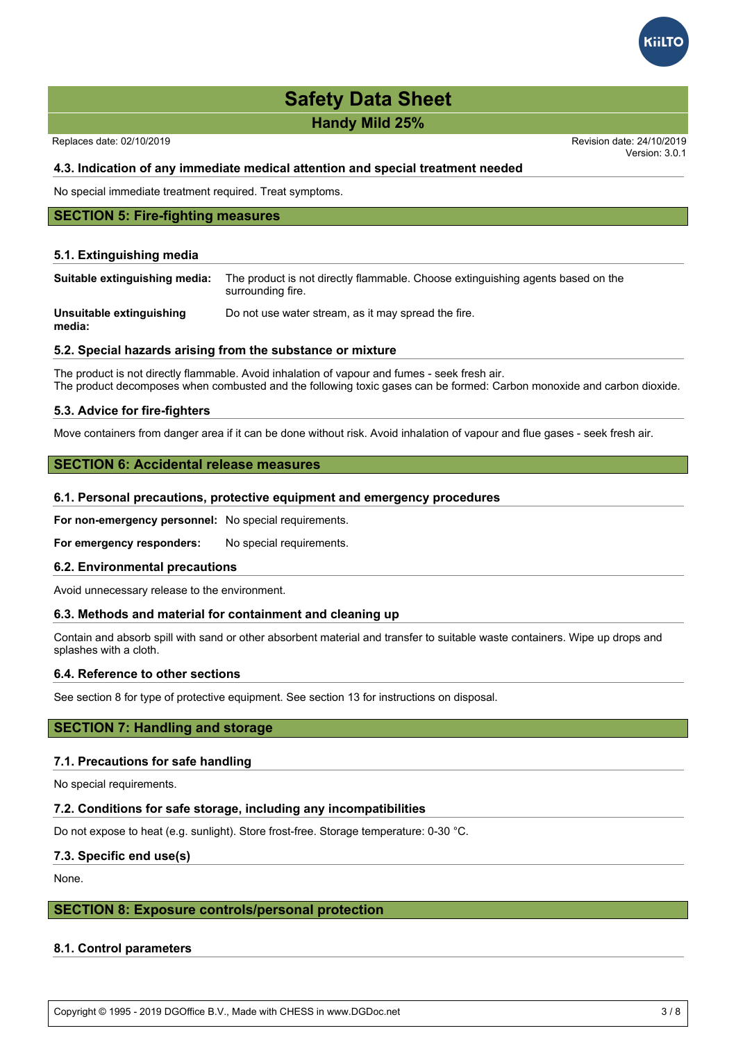**Handy Mild 25%**

Replaces date: 02/10/2019 Revision date: 24/10/2019

Version: 3.0.1

## **4.3. Indication of any immediate medical attention and special treatment needed**

No special immediate treatment required. Treat symptoms.

### **SECTION 5: Fire-fighting measures**

#### **5.1. Extinguishing media**

| Suitable extinguishing media:      | The product is not directly flammable. Choose extinguishing agents based on the<br>surrounding fire. |
|------------------------------------|------------------------------------------------------------------------------------------------------|
| Unsuitable extinguishing<br>media: | Do not use water stream, as it may spread the fire.                                                  |

#### **5.2. Special hazards arising from the substance or mixture**

The product is not directly flammable. Avoid inhalation of vapour and fumes - seek fresh air. The product decomposes when combusted and the following toxic gases can be formed: Carbon monoxide and carbon dioxide.

### **5.3. Advice for fire-fighters**

Move containers from danger area if it can be done without risk. Avoid inhalation of vapour and flue gases - seek fresh air.

### **SECTION 6: Accidental release measures**

#### **6.1. Personal precautions, protective equipment and emergency procedures**

**For non-emergency personnel:** No special requirements.

**For emergency responders:** No special requirements.

# **6.2. Environmental precautions**

Avoid unnecessary release to the environment.

## **6.3. Methods and material for containment and cleaning up**

Contain and absorb spill with sand or other absorbent material and transfer to suitable waste containers. Wipe up drops and splashes with a cloth.

# **6.4. Reference to other sections**

See section 8 for type of protective equipment. See section 13 for instructions on disposal.

#### **SECTION 7: Handling and storage**

### **7.1. Precautions for safe handling**

No special requirements.

#### **7.2. Conditions for safe storage, including any incompatibilities**

Do not expose to heat (e.g. sunlight). Store frost-free. Storage temperature: 0-30 °C.

#### **7.3. Specific end use(s)**

None.

#### **SECTION 8: Exposure controls/personal protection**

#### **8.1. Control parameters**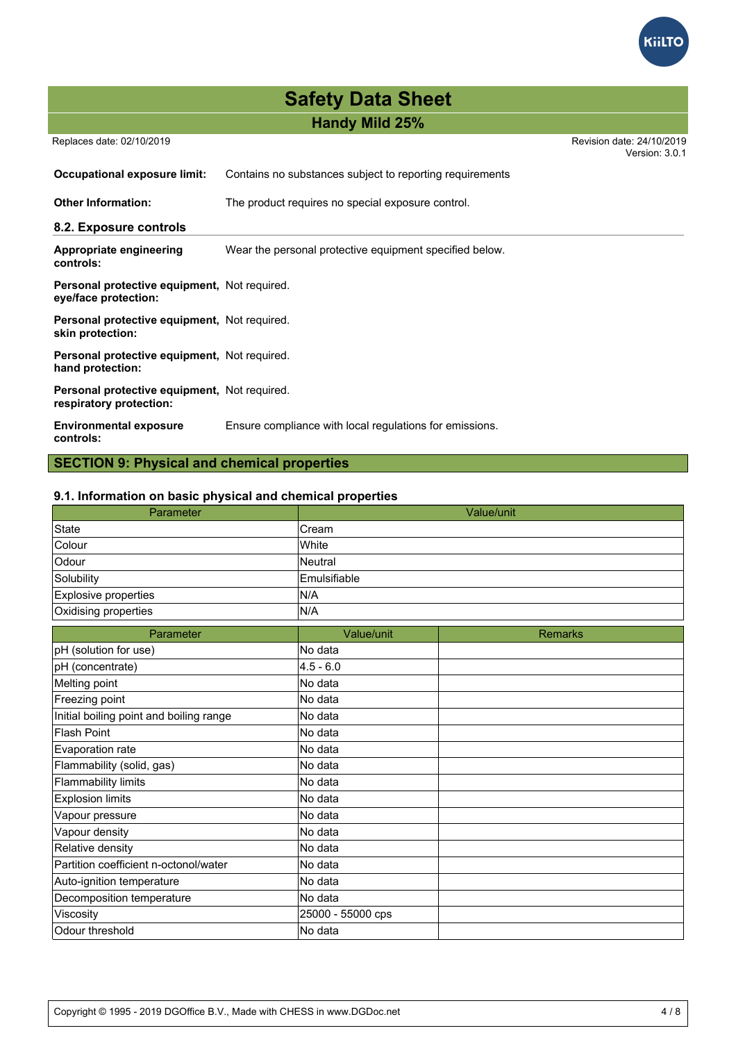

# **Handy Mild 25%**

Replaces date: 02/10/2019 Revision date: 24/10/2019

Version: 3.0.1

| Occupational exposure limit:                                            | Contains no substances subject to reporting requirements |  |  |
|-------------------------------------------------------------------------|----------------------------------------------------------|--|--|
| <b>Other Information:</b>                                               | The product requires no special exposure control.        |  |  |
| 8.2. Exposure controls                                                  |                                                          |  |  |
| Appropriate engineering<br>controls:                                    | Wear the personal protective equipment specified below.  |  |  |
| Personal protective equipment, Not required.<br>eye/face protection:    |                                                          |  |  |
| Personal protective equipment, Not required.<br>skin protection:        |                                                          |  |  |
| Personal protective equipment, Not required.<br>hand protection:        |                                                          |  |  |
| Personal protective equipment, Not required.<br>respiratory protection: |                                                          |  |  |
| <b>Environmental exposure</b><br>controls:                              | Ensure compliance with local regulations for emissions.  |  |  |

# **SECTION 9: Physical and chemical properties**

# **9.1. Information on basic physical and chemical properties**

| Parameter                               | Value/unit        |                |
|-----------------------------------------|-------------------|----------------|
| <b>State</b>                            | Cream             |                |
| Colour                                  | White             |                |
| Odour                                   | Neutral           |                |
| Solubility                              | Emulsifiable      |                |
| <b>Explosive properties</b>             | N/A               |                |
| Oxidising properties                    | N/A               |                |
| Parameter                               | Value/unit        | <b>Remarks</b> |
| pH (solution for use)                   | No data           |                |
| pH (concentrate)                        | $4.5 - 6.0$       |                |
| Melting point                           | No data           |                |
| Freezing point                          | No data           |                |
| Initial boiling point and boiling range | No data           |                |
| <b>Flash Point</b>                      | No data           |                |
| Evaporation rate                        | No data           |                |
| Flammability (solid, gas)               | No data           |                |
| <b>Flammability limits</b>              | No data           |                |
| <b>Explosion limits</b>                 | No data           |                |
| Vapour pressure                         | No data           |                |
| Vapour density                          | No data           |                |
| Relative density                        | No data           |                |
| Partition coefficient n-octonol/water   | No data           |                |
| Auto-ignition temperature               | No data           |                |
| Decomposition temperature               | No data           |                |
| Viscosity                               | 25000 - 55000 cps |                |
| Odour threshold                         | No data           |                |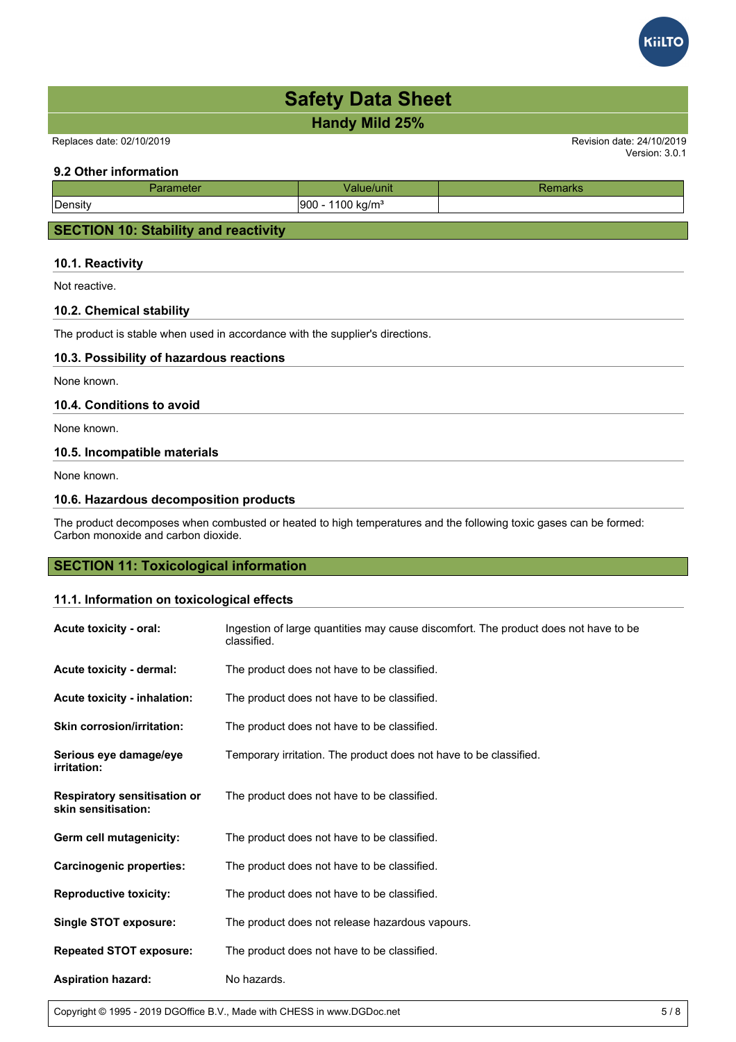**Handy Mild 25%**

Replaces date: 02/10/2019 Revision date: 24/10/2019

# **9.2 Other information**

| neter<br>. | <b>Tunit</b>                | παι κε |
|------------|-----------------------------|--------|
| Density    | $100 \text{ kg/m}^3$<br>900 |        |
|            |                             |        |

# **SECTION 10: Stability and reactivity**

# **10.1. Reactivity**

Not reactive.

# **10.2. Chemical stability**

The product is stable when used in accordance with the supplier's directions.

# **10.3. Possibility of hazardous reactions**

None known.

# **10.4. Conditions to avoid**

None known.

# **10.5. Incompatible materials**

None known.

# **10.6. Hazardous decomposition products**

The product decomposes when combusted or heated to high temperatures and the following toxic gases can be formed: Carbon monoxide and carbon dioxide.

# **SECTION 11: Toxicological information**

# **11.1. Information on toxicological effects**

| Acute toxicity - oral:                                     | Ingestion of large quantities may cause discomfort. The product does not have to be<br>classified. |
|------------------------------------------------------------|----------------------------------------------------------------------------------------------------|
| <b>Acute toxicity - dermal:</b>                            | The product does not have to be classified.                                                        |
| Acute toxicity - inhalation:                               | The product does not have to be classified.                                                        |
| <b>Skin corrosion/irritation:</b>                          | The product does not have to be classified.                                                        |
| Serious eye damage/eye<br><i>irritation:</i>               | Temporary irritation. The product does not have to be classified.                                  |
| <b>Respiratory sensitisation or</b><br>skin sensitisation: | The product does not have to be classified.                                                        |
| Germ cell mutagenicity:                                    | The product does not have to be classified.                                                        |
| <b>Carcinogenic properties:</b>                            | The product does not have to be classified.                                                        |
| <b>Reproductive toxicity:</b>                              | The product does not have to be classified.                                                        |
| <b>Single STOT exposure:</b>                               | The product does not release hazardous vapours.                                                    |
| <b>Repeated STOT exposure:</b>                             | The product does not have to be classified.                                                        |
| <b>Aspiration hazard:</b>                                  | No hazards.                                                                                        |

Copyright © 1995 - 2019 DGOffice B.V., Made with CHESS in www.DGDoc.net 5 / 8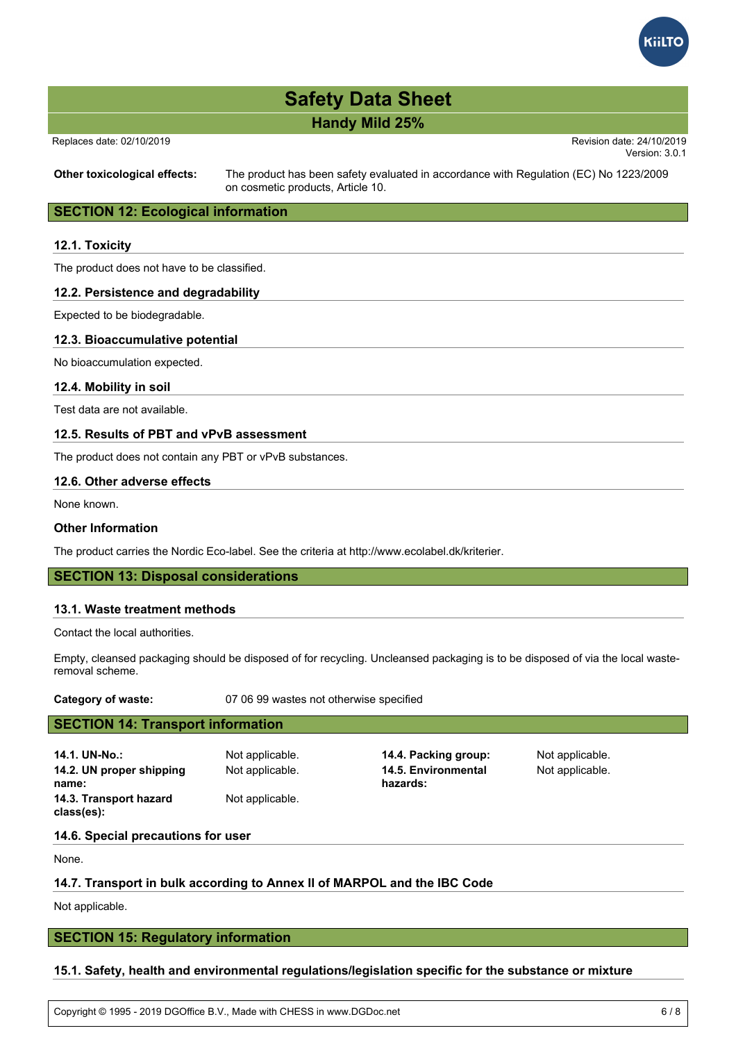

# **Handy Mild 25%**

Replaces date: 02/10/2019 Revision date: 24/10/2019

Version: 3.0.1

**Other toxicological effects:** The product has been safety evaluated in accordance with Regulation (EC) No 1223/2009 on cosmetic products, Article 10.

# **SECTION 12: Ecological information**

## **12.1. Toxicity**

The product does not have to be classified.

### **12.2. Persistence and degradability**

Expected to be biodegradable.

# **12.3. Bioaccumulative potential**

No bioaccumulation expected.

#### **12.4. Mobility in soil**

Test data are not available.

# **12.5. Results of PBT and vPvB assessment**

The product does not contain any PBT or vPvB substances.

## **12.6. Other adverse effects**

None known.

# **Other Information**

The product carries the Nordic Eco-label. See the criteria at http://www.ecolabel.dk/kriterier.

# **SECTION 13: Disposal considerations**

#### **13.1. Waste treatment methods**

Contact the local authorities.

Empty, cleansed packaging should be disposed of for recycling. Uncleansed packaging is to be disposed of via the local wasteremoval scheme.

**Category of waste:** 07 06 99 wastes not otherwise specified

# **SECTION 14: Transport information**

**14.1. UN-No.:** Not applicable. **14.4. Packing group:** Not applicable. **14.2. UN proper shipping name: 14.3. Transport hazard class(es):**

Not applicable.

Not applicable. **14.5. Environmental hazards:**

Not applicable.

#### **14.6. Special precautions for user**

None.

# **14.7. Transport in bulk according to Annex II of MARPOL and the IBC Code**

Not applicable.

# **SECTION 15: Regulatory information**

# **15.1. Safety, health and environmental regulations/legislation specific for the substance or mixture**

Copyright © 1995 - 2019 DGOffice B.V., Made with CHESS in www.DGDoc.net 6 / 8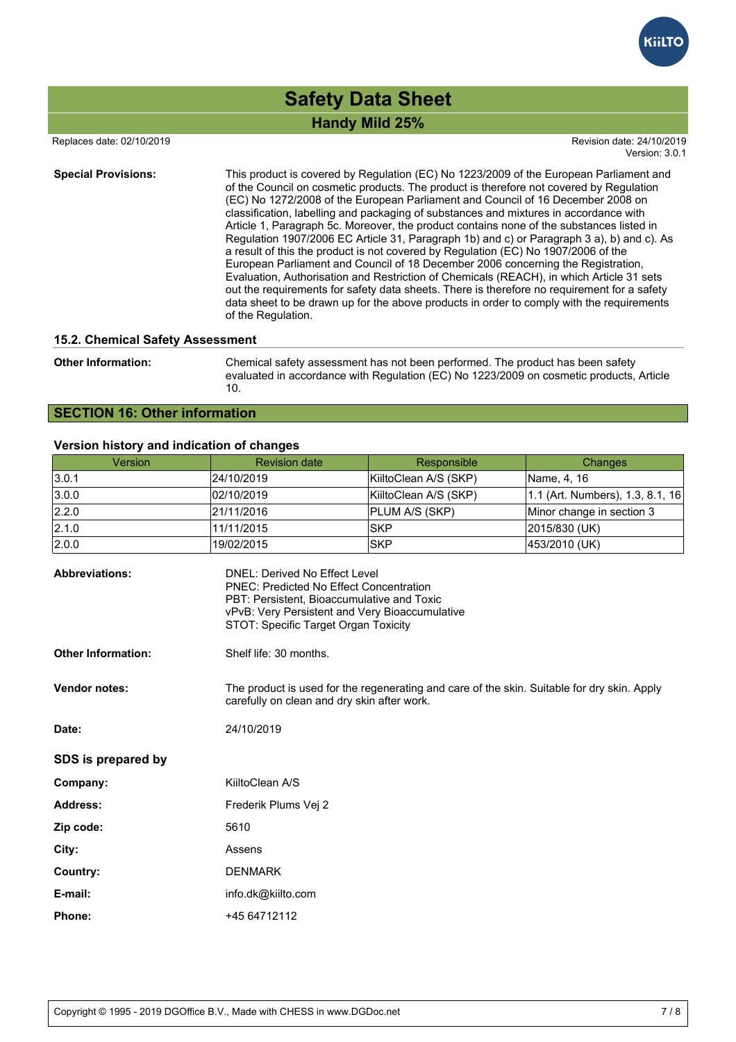

# **Handy Mild 25% Safety Data Sheet**

Replaces date: 02/10/2019 Revision date: 24/10/2019

Version: 3.0.1

**Special Provisions:** This product is covered by Regulation (EC) No 1223/2009 of the European Parliament and of the Council on cosmetic products. The product is therefore not covered by Regulation (EC) No 1272/2008 of the European Parliament and Council of 16 December 2008 on classification, labelling and packaging of substances and mixtures in accordance with Article 1, Paragraph 5c. Moreover, the product contains none of the substances listed in Regulation 1907/2006 EC Article 31, Paragraph 1b) and c) or Paragraph 3 a), b) and c). As a result of this the product is not covered by Regulation (EC) No 1907/2006 of the European Parliament and Council of 18 December 2006 concerning the Registration, Evaluation, Authorisation and Restriction of Chemicals (REACH), in which Article 31 sets out the requirements for safety data sheets. There is therefore no requirement for a safety data sheet to be drawn up for the above products in order to comply with the requirements of the Regulation.

### **15.2. Chemical Safety Assessment**

**Other Information:** Chemical safety assessment has not been performed. The product has been safety evaluated in accordance with Regulation (EC) No 1223/2009 on cosmetic products, Article 10.

# **SECTION 16: Other information**

# **Version history and indication of changes**

| <b>Version</b>        | <b>Revision date</b>                                                                                                          | Responsible           | <b>Changes</b>                   |
|-----------------------|-------------------------------------------------------------------------------------------------------------------------------|-----------------------|----------------------------------|
| 3.0.1                 | 24/10/2019                                                                                                                    | KiiltoClean A/S (SKP) | Name, 4, 16                      |
| 3.0.0                 | 02/10/2019                                                                                                                    | KiiltoClean A/S (SKP) | 1.1 (Art. Numbers), 1.3, 8.1, 16 |
| 2.2.0                 | 21/11/2016                                                                                                                    | PLUM A/S (SKP)        | Minor change in section 3        |
| 2.1.0                 | 11/11/2015                                                                                                                    | lSKP                  | 2015/830 (UK)                    |
| 2.0.0                 | 19/02/2015                                                                                                                    | ISKP                  | 453/2010 (UK)                    |
| <b>Abbreviations:</b> | DNEL: Derived No Effect Level<br><b>PNEC: Predicted No Effect Concentration</b><br>PBT: Persistent, Bioaccumulative and Toxic |                       |                                  |

|                           | vPvB: Very Persistent and Very Bioaccumulative<br>STOT: Specific Target Organ Toxicity                                                     |
|---------------------------|--------------------------------------------------------------------------------------------------------------------------------------------|
| <b>Other Information:</b> | Shelf life: 30 months.                                                                                                                     |
| <b>Vendor notes:</b>      | The product is used for the regenerating and care of the skin. Suitable for dry skin. Apply<br>carefully on clean and dry skin after work. |
| Date:                     | 24/10/2019                                                                                                                                 |
| SDS is prepared by        |                                                                                                                                            |
| Company:                  | KiiltoClean A/S                                                                                                                            |
| <b>Address:</b>           | Frederik Plums Vej 2                                                                                                                       |
| Zip code:                 | 5610                                                                                                                                       |
| City:                     | Assens                                                                                                                                     |
| Country:                  | <b>DENMARK</b>                                                                                                                             |
| E-mail:                   | info.dk@kiilto.com                                                                                                                         |
| <b>Phone:</b>             | +45 64712112                                                                                                                               |